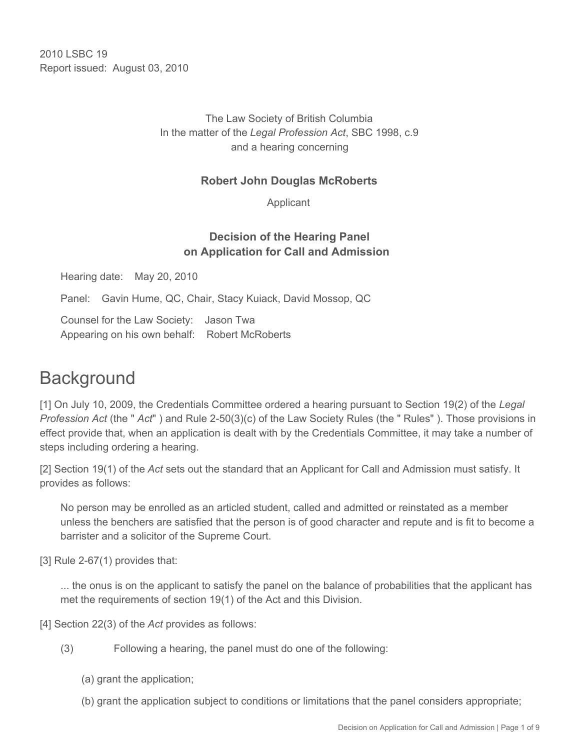2010 LSBC 19 Report issued: August 03, 2010

> The Law Society of British Columbia In the matter of the *Legal Profession Act*, SBC 1998, c.9 and a hearing concerning

#### **Robert John Douglas McRoberts**

Applicant

## **Decision of the Hearing Panel on Application for Call and Admission**

Hearing date: May 20, 2010

Panel: Gavin Hume, QC, Chair, Stacy Kuiack, David Mossop, QC

Counsel for the Law Society: Jason Twa Appearing on his own behalf: Robert McRoberts

# **Background**

[1] On July 10, 2009, the Credentials Committee ordered a hearing pursuant to Section 19(2) of the *Legal Profession Act* (the " *Act*" ) and Rule 2-50(3)(c) of the Law Society Rules (the " Rules" ). Those provisions in effect provide that, when an application is dealt with by the Credentials Committee, it may take a number of steps including ordering a hearing.

[2] Section 19(1) of the *Act* sets out the standard that an Applicant for Call and Admission must satisfy. It provides as follows:

No person may be enrolled as an articled student, called and admitted or reinstated as a member unless the benchers are satisfied that the person is of good character and repute and is fit to become a barrister and a solicitor of the Supreme Court.

[3] Rule 2-67(1) provides that:

... the onus is on the applicant to satisfy the panel on the balance of probabilities that the applicant has met the requirements of section 19(1) of the Act and this Division.

[4] Section 22(3) of the *Act* provides as follows:

- (3) Following a hearing, the panel must do one of the following:
	- (a) grant the application;
	- (b) grant the application subject to conditions or limitations that the panel considers appropriate;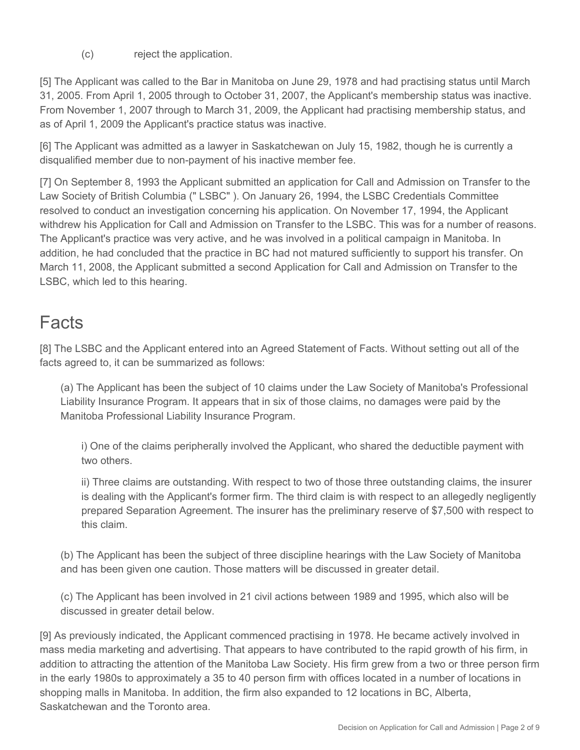(c) reject the application.

[5] The Applicant was called to the Bar in Manitoba on June 29, 1978 and had practising status until March 31, 2005. From April 1, 2005 through to October 31, 2007, the Applicant's membership status was inactive. From November 1, 2007 through to March 31, 2009, the Applicant had practising membership status, and as of April 1, 2009 the Applicant's practice status was inactive.

[6] The Applicant was admitted as a lawyer in Saskatchewan on July 15, 1982, though he is currently a disqualified member due to non-payment of his inactive member fee.

[7] On September 8, 1993 the Applicant submitted an application for Call and Admission on Transfer to the Law Society of British Columbia (" LSBC" ). On January 26, 1994, the LSBC Credentials Committee resolved to conduct an investigation concerning his application. On November 17, 1994, the Applicant withdrew his Application for Call and Admission on Transfer to the LSBC. This was for a number of reasons. The Applicant's practice was very active, and he was involved in a political campaign in Manitoba. In addition, he had concluded that the practice in BC had not matured sufficiently to support his transfer. On March 11, 2008, the Applicant submitted a second Application for Call and Admission on Transfer to the LSBC, which led to this hearing.

# **Facts**

[8] The LSBC and the Applicant entered into an Agreed Statement of Facts. Without setting out all of the facts agreed to, it can be summarized as follows:

(a) The Applicant has been the subject of 10 claims under the Law Society of Manitoba's Professional Liability Insurance Program. It appears that in six of those claims, no damages were paid by the Manitoba Professional Liability Insurance Program.

i) One of the claims peripherally involved the Applicant, who shared the deductible payment with two others.

ii) Three claims are outstanding. With respect to two of those three outstanding claims, the insurer is dealing with the Applicant's former firm. The third claim is with respect to an allegedly negligently prepared Separation Agreement. The insurer has the preliminary reserve of \$7,500 with respect to this claim.

(b) The Applicant has been the subject of three discipline hearings with the Law Society of Manitoba and has been given one caution. Those matters will be discussed in greater detail.

(c) The Applicant has been involved in 21 civil actions between 1989 and 1995, which also will be discussed in greater detail below.

[9] As previously indicated, the Applicant commenced practising in 1978. He became actively involved in mass media marketing and advertising. That appears to have contributed to the rapid growth of his firm, in addition to attracting the attention of the Manitoba Law Society. His firm grew from a two or three person firm in the early 1980s to approximately a 35 to 40 person firm with offices located in a number of locations in shopping malls in Manitoba. In addition, the firm also expanded to 12 locations in BC, Alberta, Saskatchewan and the Toronto area.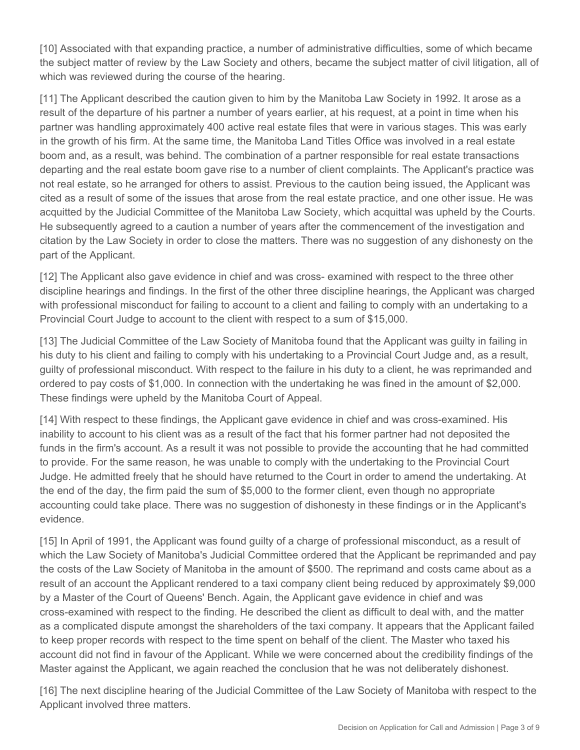[10] Associated with that expanding practice, a number of administrative difficulties, some of which became the subject matter of review by the Law Society and others, became the subject matter of civil litigation, all of which was reviewed during the course of the hearing.

[11] The Applicant described the caution given to him by the Manitoba Law Society in 1992. It arose as a result of the departure of his partner a number of years earlier, at his request, at a point in time when his partner was handling approximately 400 active real estate files that were in various stages. This was early in the growth of his firm. At the same time, the Manitoba Land Titles Office was involved in a real estate boom and, as a result, was behind. The combination of a partner responsible for real estate transactions departing and the real estate boom gave rise to a number of client complaints. The Applicant's practice was not real estate, so he arranged for others to assist. Previous to the caution being issued, the Applicant was cited as a result of some of the issues that arose from the real estate practice, and one other issue. He was acquitted by the Judicial Committee of the Manitoba Law Society, which acquittal was upheld by the Courts. He subsequently agreed to a caution a number of years after the commencement of the investigation and citation by the Law Society in order to close the matters. There was no suggestion of any dishonesty on the part of the Applicant.

[12] The Applicant also gave evidence in chief and was cross- examined with respect to the three other discipline hearings and findings. In the first of the other three discipline hearings, the Applicant was charged with professional misconduct for failing to account to a client and failing to comply with an undertaking to a Provincial Court Judge to account to the client with respect to a sum of \$15,000.

[13] The Judicial Committee of the Law Society of Manitoba found that the Applicant was guilty in failing in his duty to his client and failing to comply with his undertaking to a Provincial Court Judge and, as a result, guilty of professional misconduct. With respect to the failure in his duty to a client, he was reprimanded and ordered to pay costs of \$1,000. In connection with the undertaking he was fined in the amount of \$2,000. These findings were upheld by the Manitoba Court of Appeal.

[14] With respect to these findings, the Applicant gave evidence in chief and was cross-examined. His inability to account to his client was as a result of the fact that his former partner had not deposited the funds in the firm's account. As a result it was not possible to provide the accounting that he had committed to provide. For the same reason, he was unable to comply with the undertaking to the Provincial Court Judge. He admitted freely that he should have returned to the Court in order to amend the undertaking. At the end of the day, the firm paid the sum of \$5,000 to the former client, even though no appropriate accounting could take place. There was no suggestion of dishonesty in these findings or in the Applicant's evidence.

[15] In April of 1991, the Applicant was found guilty of a charge of professional misconduct, as a result of which the Law Society of Manitoba's Judicial Committee ordered that the Applicant be reprimanded and pay the costs of the Law Society of Manitoba in the amount of \$500. The reprimand and costs came about as a result of an account the Applicant rendered to a taxi company client being reduced by approximately \$9,000 by a Master of the Court of Queens' Bench. Again, the Applicant gave evidence in chief and was cross-examined with respect to the finding. He described the client as difficult to deal with, and the matter as a complicated dispute amongst the shareholders of the taxi company. It appears that the Applicant failed to keep proper records with respect to the time spent on behalf of the client. The Master who taxed his account did not find in favour of the Applicant. While we were concerned about the credibility findings of the Master against the Applicant, we again reached the conclusion that he was not deliberately dishonest.

[16] The next discipline hearing of the Judicial Committee of the Law Society of Manitoba with respect to the Applicant involved three matters.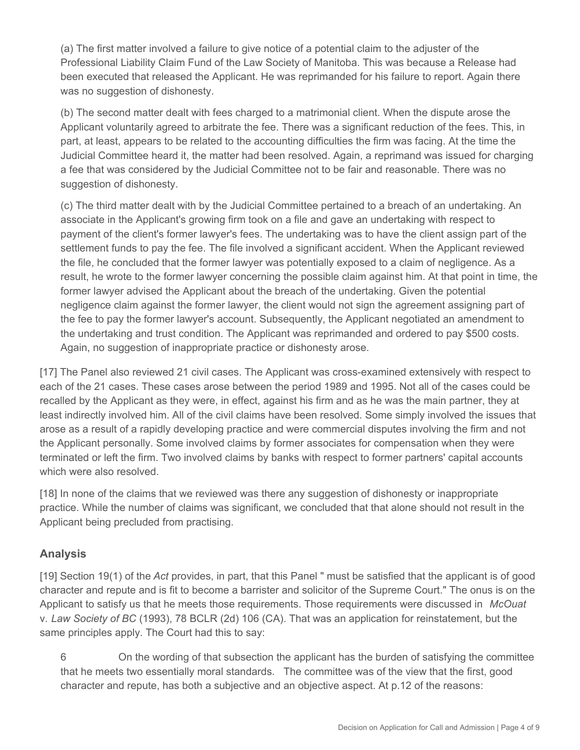(a) The first matter involved a failure to give notice of a potential claim to the adjuster of the Professional Liability Claim Fund of the Law Society of Manitoba. This was because a Release had been executed that released the Applicant. He was reprimanded for his failure to report. Again there was no suggestion of dishonesty.

(b) The second matter dealt with fees charged to a matrimonial client. When the dispute arose the Applicant voluntarily agreed to arbitrate the fee. There was a significant reduction of the fees. This, in part, at least, appears to be related to the accounting difficulties the firm was facing. At the time the Judicial Committee heard it, the matter had been resolved. Again, a reprimand was issued for charging a fee that was considered by the Judicial Committee not to be fair and reasonable. There was no suggestion of dishonesty.

(c) The third matter dealt with by the Judicial Committee pertained to a breach of an undertaking. An associate in the Applicant's growing firm took on a file and gave an undertaking with respect to payment of the client's former lawyer's fees. The undertaking was to have the client assign part of the settlement funds to pay the fee. The file involved a significant accident. When the Applicant reviewed the file, he concluded that the former lawyer was potentially exposed to a claim of negligence. As a result, he wrote to the former lawyer concerning the possible claim against him. At that point in time, the former lawyer advised the Applicant about the breach of the undertaking. Given the potential negligence claim against the former lawyer, the client would not sign the agreement assigning part of the fee to pay the former lawyer's account. Subsequently, the Applicant negotiated an amendment to the undertaking and trust condition. The Applicant was reprimanded and ordered to pay \$500 costs. Again, no suggestion of inappropriate practice or dishonesty arose.

[17] The Panel also reviewed 21 civil cases. The Applicant was cross-examined extensively with respect to each of the 21 cases. These cases arose between the period 1989 and 1995. Not all of the cases could be recalled by the Applicant as they were, in effect, against his firm and as he was the main partner, they at least indirectly involved him. All of the civil claims have been resolved. Some simply involved the issues that arose as a result of a rapidly developing practice and were commercial disputes involving the firm and not the Applicant personally. Some involved claims by former associates for compensation when they were terminated or left the firm. Two involved claims by banks with respect to former partners' capital accounts which were also resolved.

[18] In none of the claims that we reviewed was there any suggestion of dishonesty or inappropriate practice. While the number of claims was significant, we concluded that that alone should not result in the Applicant being precluded from practising.

### **Analysis**

[19] Section 19(1) of the *Act* provides, in part, that this Panel " must be satisfied that the applicant is of good character and repute and is fit to become a barrister and solicitor of the Supreme Court." The onus is on the Applicant to satisfy us that he meets those requirements. Those requirements were discussed in *McOuat* v. *Law Society of BC* (1993), 78 BCLR (2d) 106 (CA). That was an application for reinstatement, but the same principles apply. The Court had this to say:

6 On the wording of that subsection the applicant has the burden of satisfying the committee that he meets two essentially moral standards. The committee was of the view that the first, good character and repute, has both a subjective and an objective aspect. At p.12 of the reasons: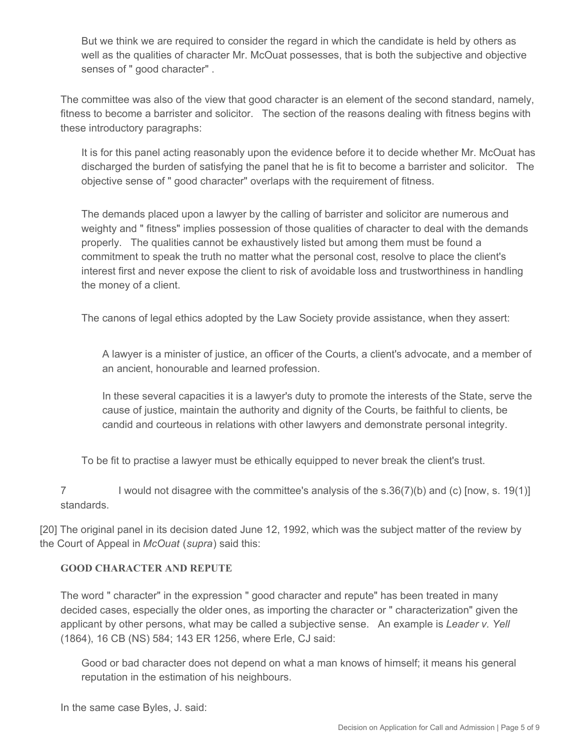But we think we are required to consider the regard in which the candidate is held by others as well as the qualities of character Mr. McOuat possesses, that is both the subjective and objective senses of " good character" .

The committee was also of the view that good character is an element of the second standard, namely, fitness to become a barrister and solicitor. The section of the reasons dealing with fitness begins with these introductory paragraphs:

It is for this panel acting reasonably upon the evidence before it to decide whether Mr. McOuat has discharged the burden of satisfying the panel that he is fit to become a barrister and solicitor. The objective sense of " good character" overlaps with the requirement of fitness.

The demands placed upon a lawyer by the calling of barrister and solicitor are numerous and weighty and " fitness" implies possession of those qualities of character to deal with the demands properly. The qualities cannot be exhaustively listed but among them must be found a commitment to speak the truth no matter what the personal cost, resolve to place the client's interest first and never expose the client to risk of avoidable loss and trustworthiness in handling the money of a client.

The canons of legal ethics adopted by the Law Society provide assistance, when they assert:

A lawyer is a minister of justice, an officer of the Courts, a client's advocate, and a member of an ancient, honourable and learned profession.

In these several capacities it is a lawyer's duty to promote the interests of the State, serve the cause of justice, maintain the authority and dignity of the Courts, be faithful to clients, be candid and courteous in relations with other lawyers and demonstrate personal integrity.

To be fit to practise a lawyer must be ethically equipped to never break the client's trust.

7 I would not disagree with the committee's analysis of the s.36(7)(b) and (c) [now, s. 19(1)] standards.

[20] The original panel in its decision dated June 12, 1992, which was the subject matter of the review by the Court of Appeal in *McOuat* (*supra*) said this:

#### **GOOD CHARACTER AND REPUTE**

The word " character" in the expression " good character and repute" has been treated in many decided cases, especially the older ones, as importing the character or " characterization" given the applicant by other persons, what may be called a subjective sense. An example is *Leader v. Yell* (1864), 16 CB (NS) 584; 143 ER 1256, where Erle, CJ said:

Good or bad character does not depend on what a man knows of himself; it means his general reputation in the estimation of his neighbours.

In the same case Byles, J. said: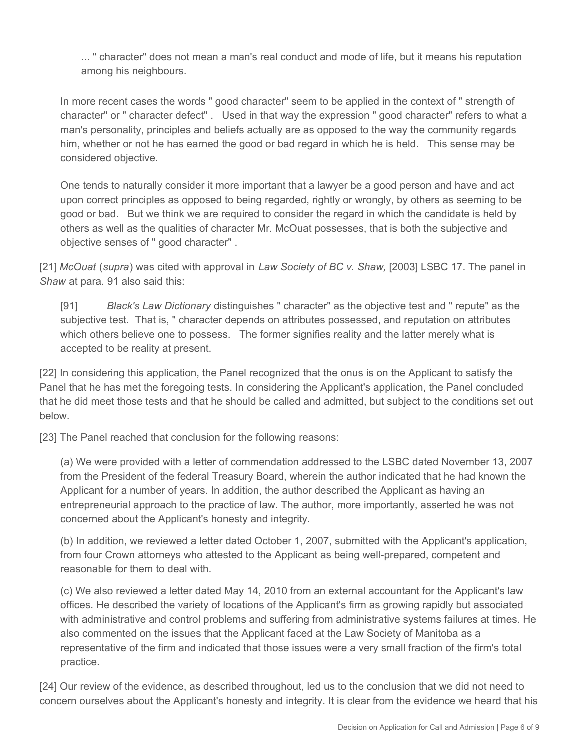... " character" does not mean a man's real conduct and mode of life, but it means his reputation among his neighbours.

In more recent cases the words " good character" seem to be applied in the context of " strength of character" or " character defect" . Used in that way the expression " good character" refers to what a man's personality, principles and beliefs actually are as opposed to the way the community regards him, whether or not he has earned the good or bad regard in which he is held. This sense may be considered objective.

One tends to naturally consider it more important that a lawyer be a good person and have and act upon correct principles as opposed to being regarded, rightly or wrongly, by others as seeming to be good or bad. But we think we are required to consider the regard in which the candidate is held by others as well as the qualities of character Mr. McOuat possesses, that is both the subjective and objective senses of " good character" .

[21] *McOuat* (*supra*) was cited with approval in *Law Society of BC v. Shaw,* [2003] LSBC 17. The panel in *Shaw* at para. 91 also said this:

[91] *Black's Law Dictionary* distinguishes " character" as the objective test and " repute" as the subjective test. That is, " character depends on attributes possessed, and reputation on attributes which others believe one to possess. The former signifies reality and the latter merely what is accepted to be reality at present.

[22] In considering this application, the Panel recognized that the onus is on the Applicant to satisfy the Panel that he has met the foregoing tests. In considering the Applicant's application, the Panel concluded that he did meet those tests and that he should be called and admitted, but subject to the conditions set out below.

[23] The Panel reached that conclusion for the following reasons:

(a) We were provided with a letter of commendation addressed to the LSBC dated November 13, 2007 from the President of the federal Treasury Board, wherein the author indicated that he had known the Applicant for a number of years. In addition, the author described the Applicant as having an entrepreneurial approach to the practice of law. The author, more importantly, asserted he was not concerned about the Applicant's honesty and integrity.

(b) In addition, we reviewed a letter dated October 1, 2007, submitted with the Applicant's application, from four Crown attorneys who attested to the Applicant as being well-prepared, competent and reasonable for them to deal with.

(c) We also reviewed a letter dated May 14, 2010 from an external accountant for the Applicant's law offices. He described the variety of locations of the Applicant's firm as growing rapidly but associated with administrative and control problems and suffering from administrative systems failures at times. He also commented on the issues that the Applicant faced at the Law Society of Manitoba as a representative of the firm and indicated that those issues were a very small fraction of the firm's total practice.

[24] Our review of the evidence, as described throughout, led us to the conclusion that we did not need to concern ourselves about the Applicant's honesty and integrity. It is clear from the evidence we heard that his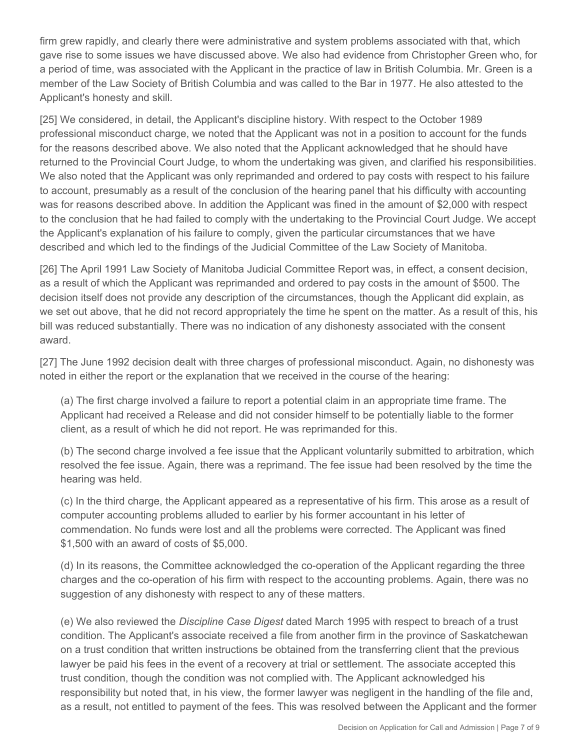firm grew rapidly, and clearly there were administrative and system problems associated with that, which gave rise to some issues we have discussed above. We also had evidence from Christopher Green who, for a period of time, was associated with the Applicant in the practice of law in British Columbia. Mr. Green is a member of the Law Society of British Columbia and was called to the Bar in 1977. He also attested to the Applicant's honesty and skill.

[25] We considered, in detail, the Applicant's discipline history. With respect to the October 1989 professional misconduct charge, we noted that the Applicant was not in a position to account for the funds for the reasons described above. We also noted that the Applicant acknowledged that he should have returned to the Provincial Court Judge, to whom the undertaking was given, and clarified his responsibilities. We also noted that the Applicant was only reprimanded and ordered to pay costs with respect to his failure to account, presumably as a result of the conclusion of the hearing panel that his difficulty with accounting was for reasons described above. In addition the Applicant was fined in the amount of \$2,000 with respect to the conclusion that he had failed to comply with the undertaking to the Provincial Court Judge. We accept the Applicant's explanation of his failure to comply, given the particular circumstances that we have described and which led to the findings of the Judicial Committee of the Law Society of Manitoba.

[26] The April 1991 Law Society of Manitoba Judicial Committee Report was, in effect, a consent decision, as a result of which the Applicant was reprimanded and ordered to pay costs in the amount of \$500. The decision itself does not provide any description of the circumstances, though the Applicant did explain, as we set out above, that he did not record appropriately the time he spent on the matter. As a result of this, his bill was reduced substantially. There was no indication of any dishonesty associated with the consent award.

[27] The June 1992 decision dealt with three charges of professional misconduct. Again, no dishonesty was noted in either the report or the explanation that we received in the course of the hearing:

(a) The first charge involved a failure to report a potential claim in an appropriate time frame. The Applicant had received a Release and did not consider himself to be potentially liable to the former client, as a result of which he did not report. He was reprimanded for this.

(b) The second charge involved a fee issue that the Applicant voluntarily submitted to arbitration, which resolved the fee issue. Again, there was a reprimand. The fee issue had been resolved by the time the hearing was held.

(c) In the third charge, the Applicant appeared as a representative of his firm. This arose as a result of computer accounting problems alluded to earlier by his former accountant in his letter of commendation. No funds were lost and all the problems were corrected. The Applicant was fined \$1,500 with an award of costs of \$5,000.

(d) In its reasons, the Committee acknowledged the co-operation of the Applicant regarding the three charges and the co-operation of his firm with respect to the accounting problems. Again, there was no suggestion of any dishonesty with respect to any of these matters.

(e) We also reviewed the *Discipline Case Digest* dated March 1995 with respect to breach of a trust condition. The Applicant's associate received a file from another firm in the province of Saskatchewan on a trust condition that written instructions be obtained from the transferring client that the previous lawyer be paid his fees in the event of a recovery at trial or settlement. The associate accepted this trust condition, though the condition was not complied with. The Applicant acknowledged his responsibility but noted that, in his view, the former lawyer was negligent in the handling of the file and, as a result, not entitled to payment of the fees. This was resolved between the Applicant and the former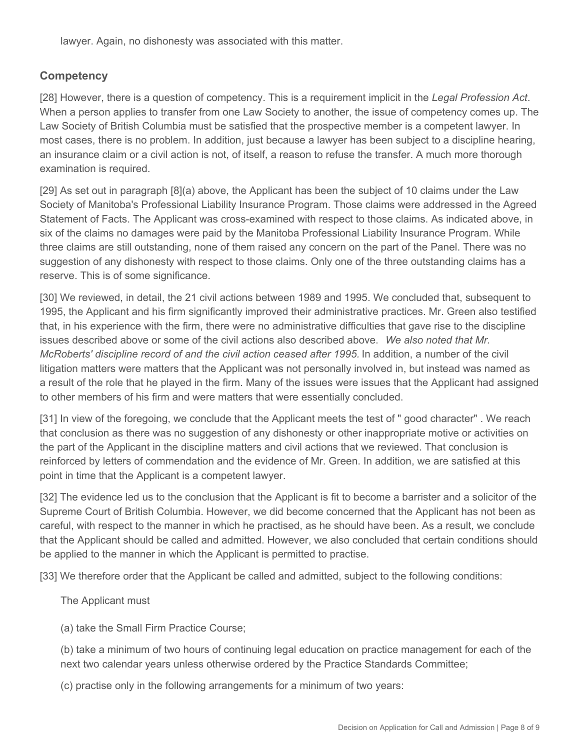lawyer. Again, no dishonesty was associated with this matter.

## **Competency**

[28] However, there is a question of competency. This is a requirement implicit in the *Legal Profession Act*. When a person applies to transfer from one Law Society to another, the issue of competency comes up. The Law Society of British Columbia must be satisfied that the prospective member is a competent lawyer. In most cases, there is no problem. In addition, just because a lawyer has been subject to a discipline hearing, an insurance claim or a civil action is not, of itself, a reason to refuse the transfer. A much more thorough examination is required.

[29] As set out in paragraph [8](a) above, the Applicant has been the subject of 10 claims under the Law Society of Manitoba's Professional Liability Insurance Program. Those claims were addressed in the Agreed Statement of Facts. The Applicant was cross-examined with respect to those claims. As indicated above, in six of the claims no damages were paid by the Manitoba Professional Liability Insurance Program. While three claims are still outstanding, none of them raised any concern on the part of the Panel. There was no suggestion of any dishonesty with respect to those claims. Only one of the three outstanding claims has a reserve. This is of some significance.

[30] We reviewed, in detail, the 21 civil actions between 1989 and 1995. We concluded that, subsequent to 1995, the Applicant and his firm significantly improved their administrative practices. Mr. Green also testified that, in his experience with the firm, there were no administrative difficulties that gave rise to the discipline issues described above or some of the civil actions also described above. *We also noted that Mr. McRoberts' discipline record of and the civil action ceased after 1995.* In addition, a number of the civil litigation matters were matters that the Applicant was not personally involved in, but instead was named as a result of the role that he played in the firm. Many of the issues were issues that the Applicant had assigned to other members of his firm and were matters that were essentially concluded.

[31] In view of the foregoing, we conclude that the Applicant meets the test of " good character" . We reach that conclusion as there was no suggestion of any dishonesty or other inappropriate motive or activities on the part of the Applicant in the discipline matters and civil actions that we reviewed. That conclusion is reinforced by letters of commendation and the evidence of Mr. Green. In addition, we are satisfied at this point in time that the Applicant is a competent lawyer.

[32] The evidence led us to the conclusion that the Applicant is fit to become a barrister and a solicitor of the Supreme Court of British Columbia. However, we did become concerned that the Applicant has not been as careful, with respect to the manner in which he practised, as he should have been. As a result, we conclude that the Applicant should be called and admitted. However, we also concluded that certain conditions should be applied to the manner in which the Applicant is permitted to practise.

[33] We therefore order that the Applicant be called and admitted, subject to the following conditions:

The Applicant must

(a) take the Small Firm Practice Course;

(b) take a minimum of two hours of continuing legal education on practice management for each of the next two calendar years unless otherwise ordered by the Practice Standards Committee;

(c) practise only in the following arrangements for a minimum of two years: